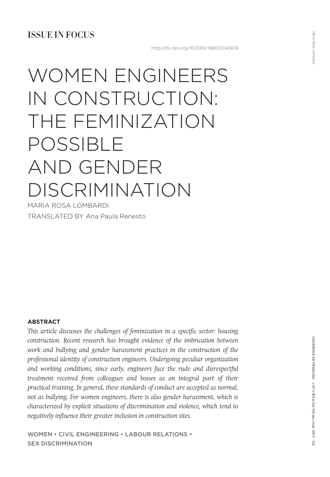# WOMEN ENGINEERS IN CONSTRUCTION: THE FEMINIZATION POSSIBLE AND GENDER DISCRIMINATION

MARIA ROSA LOMBARDI TRANSLATED BY Ana Paula Renesto

## **ABSTRACT**

*This article discusses the challenges of feminization in a specific sector: housing construction. Recent research has brought evidence of the imbrication between work and bullying and gender harassment practices in the construction of the professional identity of construction engineers. Undergoing peculiar organization and working conditions, since early, engineers face the rude and disrespectful treatment received from colleagues and bosses as an integral part of their practical training. In general, these standards of conduct are accepted as normal, not as bullying. For women engineers, there is also gender harassment, which is characterized by explicit situations of discrimination and violence, which tend to negatively influence their greater inclusion in construction sites.*

Women • CIVIL ENGINEERING • labour relations • Sex discrimination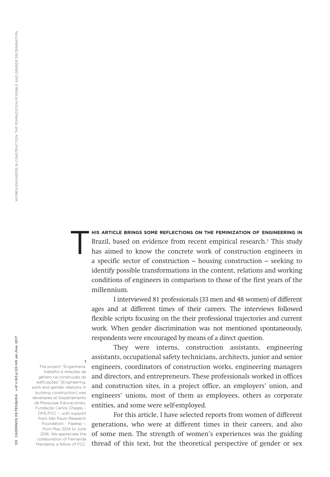**HIS ARTICLE BRINGS SOME REFLECTIONS ON THE FEMINIZATION OF ENGINEERING IN<br>
has aimed to know the concrete work of construction engineers in** Brazil, based on evidence from recent empirical research.<sup>1</sup> This study a specific sector of construction – housing construction – seeking to identify possible transformations in the content, relations and working conditions of engineers in comparison to those of the first years of the millennium.

I interviewed 81 professionals (33 men and 48 women) of different ages and at different times of their careers. The interviews followed flexible scripts focusing on the their professional trajectories and current work. When gender discrimination was not mentioned spontaneously, respondents were encouraged by means of a direct question.

They were interns, construction assistants, engineering assistants, occupational safety technicians, architects, junior and senior engineers, coordinators of construction works, engineering managers and directors, and entrepreneurs. These professionals worked in offices and construction sites, in a project office, an employers' union, and engineers' unions, most of them as employees, others as corporate entities, and some were self-employed.

For this article, I have selected reports from women of different generations, who were at different times in their careers, and also of some men. The strength of women's experiences was the guiding thread of this text, but the theoretical perspective of gender or sex

The project "Engenharia, trabalho e relações de gênero na construção de edificações" [Engineering, work and gender relations in building construction] was developed at Departamento de Pesquisas Educacionais, Fundação Carlos Chagas – DPE/FCC –, with support from São Paulo Research Foundation – Fapesp –, from May 2014 to June 2016. We appreciate the collaboration of Fernanda Mandetta, a fellow of FCC.

1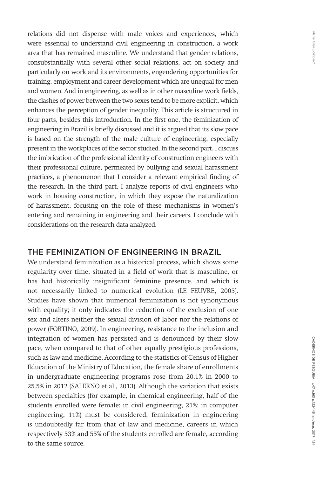relations did not dispense with male voices and experiences, which were essential to understand civil engineering in construction, a work area that has remained masculine. We understand that gender relations, consubstantially with several other social relations, act on society and particularly on work and its environments, engendering opportunities for training, employment and career development which are unequal for men and women. And in engineering, as well as in other masculine work fields, the clashes of power between the two sexes tend to be more explicit, which enhances the perception of gender inequality. This article is structured in four parts, besides this introduction. In the first one, the feminization of engineering in Brazil is briefly discussed and it is argued that its slow pace is based on the strength of the male culture of engineering, especially present in the workplaces of the sector studied. In the second part, I discuss the imbrication of the professional identity of construction engineers with their professional culture, permeated by bullying and sexual harassment practices, a phenomenon that I consider a relevant empirical finding of the research. In the third part, I analyze reports of civil engineers who work in housing construction, in which they expose the naturalization of harassment, focusing on the role of these mechanisms in women's entering and remaining in engineering and their careers. I conclude with considerations on the research data analyzed.

# THE FEMINIZATION OF ENGINEERING IN BRAZIL

We understand feminization as a historical process, which shows some regularity over time, situated in a field of work that is masculine, or has had historically insignificant feminine presence, and which is not necessarily linked to numerical evolution (LE FEUVRE, 2005). Studies have shown that numerical feminization is not synonymous with equality; it only indicates the reduction of the exclusion of one sex and alters neither the sexual division of labor nor the relations of power (FORTINO, 2009). In engineering, resistance to the inclusion and integration of women has persisted and is denounced by their slow pace, when compared to that of other equally prestigious professions, such as law and medicine. According to the statistics of Census of Higher Education of the Ministry of Education, the female share of enrollments in undergraduate engineering programs rose from 20.1% in 2000 to 25.5% in 2012 (SALERNO et al., 2013). Although the variation that exists between specialties (for example, in chemical engineering, half of the students enrolled were female; in civil engineering, 21%; in computer engineering, 11%) must be considered, feminization in engineering is undoubtedly far from that of law and medicine, careers in which respectively 53% and 55% of the students enrolled are female, according to the same source.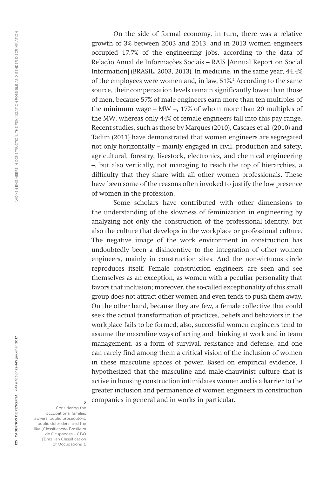On the side of formal economy, in turn, there was a relative growth of 3% between 2003 and 2013, and in 2013 women engineers occupied 17.7% of the engineering jobs, according to the data of Relação Anual de Informações Sociais – RAIS [Annual Report on Social Information] (BRASIL, 2003, 2013). In medicine, in the same year, 44.4% of the employees were women and, in law, 51%.<sup>2</sup> According to the same source, their compensation levels remain significantly lower than those of men, because 57% of male engineers earn more than ten multiples of the minimum wage – MW –, 17% of whom more than 20 multiples of the MW, whereas only 44% of female engineers fall into this pay range. Recent studies, such as those by Marques (2010), Cascaes et al. (2010) and Tadim (2011) have demonstrated that women engineers are segregated not only horizontally – mainly engaged in civil, production and safety, agricultural, forestry, livestock, electronics, and chemical engineering –, but also vertically, not managing to reach the top of hierarchies, a difficulty that they share with all other women professionals. These have been some of the reasons often invoked to justify the low presence of women in the profession.

Some scholars have contributed with other dimensions to the understanding of the slowness of feminization in engineering by analyzing not only the construction of the professional identity, but also the culture that develops in the workplace or professional culture. The negative image of the work environment in construction has undoubtedly been a disincentive to the integration of other women engineers, mainly in construction sites. And the non-virtuous circle reproduces itself. Female construction engineers are seen and see themselves as an exception, as women with a peculiar personality that favors that inclusion; moreover, the so-called exceptionality of this small group does not attract other women and even tends to push them away. On the other hand, because they are few, a female collective that could seek the actual transformation of practices, beliefs and behaviors in the workplace fails to be formed; also, successful women engineers tend to assume the masculine ways of acting and thinking at work and in team management, as a form of survival, resistance and defense, and one can rarely find among them a critical vision of the inclusion of women in these masculine spaces of power. Based on empirical evidence, I hypothesized that the masculine and male-chauvinist culture that is active in housing construction intimidates women and is a barrier to the greater inclusion and permanence of women engineers in construction companies in general and in works in particular. <sup>2</sup>

Considering the occupational families lawyers, public prosecutors, public defenders, and the like (Classificação Brasileira de Ocupações – CBO [Brazilian Classification of Occupations]).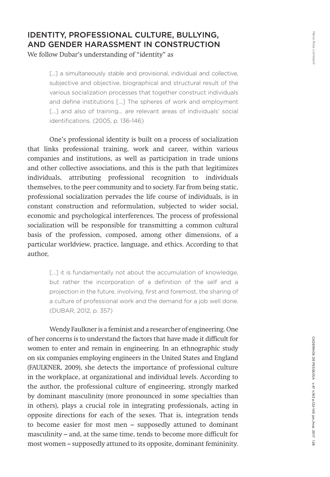# IDENTITY, PROFESSIONAL CULTURE, BULLYING, AND GENDER HARASSMENT IN CONSTRUCTION

We follow Dubar's understanding of "identity" as

[...] a simultaneously stable and provisional, individual and collective, subjective and objective, biographical and structural result of the various socialization processes that together construct individuals and define institutions [...] The spheres of work and employment [...] and also of training... are relevant areas of individuals' social identifications. (2005, p. 136-146)

One's professional identity is built on a process of socialization that links professional training, work and career, within various companies and institutions, as well as participation in trade unions and other collective associations, and this is the path that legitimizes individuals, attributing professional recognition to individuals themselves, to the peer community and to society. Far from being static, professional socialization pervades the life course of individuals, is in constant construction and reformulation, subjected to wider social, economic and psychological interferences. The process of professional socialization will be responsible for transmitting a common cultural basis of the profession, composed, among other dimensions, of a particular worldview, practice, language, and ethics. According to that author,

> [...] it is fundamentally not about the accumulation of knowledge, but rather the incorporation of a definition of the self and a projection in the future, involving, first and foremost, the sharing of a culture of professional work and the demand for a job well done. (DUBAR, 2012, p. 357)

Wendy Faulkner is a feminist and a researcher of engineering. One of her concerns is to understand the factors that have made it difficult for women to enter and remain in engineering. In an ethnographic study on six companies employing engineers in the United States and England (FAULKNER, 2009), she detects the importance of professional culture in the workplace, at organizational and individual levels. According to the author, the professional culture of engineering, strongly marked by dominant masculinity (more pronounced in some specialties than in others), plays a crucial role in integrating professionals, acting in opposite directions for each of the sexes. That is, integration tends to become easier for most men – supposedly attuned to dominant masculinity – and, at the same time, tends to become more difficult for most women – supposedly attuned to its opposite, dominant femininity.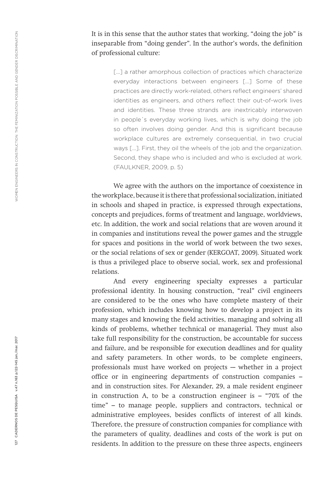It is in this sense that the author states that working, "doing the job" is inseparable from "doing gender". In the author's words, the definition of professional culture:

> [...] a rather amorphous collection of practices which characterize everyday interactions between engineers […] Some of these practices are directly work-related, others reflect engineers' shared identities as engineers, and others reflect their out-of-work lives and identities. These three strands are inextricably interwoven in people´s everyday working lives, which is why doing the job so often involves doing gender. And this is significant because workplace cultures are extremely consequential, in two crucial ways […]. First, they oil the wheels of the job and the organization. Second, they shape who is included and who is excluded at work. (FAULKNER, 2009, p. 5)

We agree with the authors on the importance of coexistence in the workplace, because it is there that professional socialization, initiated in schools and shaped in practice, is expressed through expectations, concepts and prejudices, forms of treatment and language, worldviews, etc. In addition, the work and social relations that are woven around it in companies and institutions reveal the power games and the struggle for spaces and positions in the world of work between the two sexes, or the social relations of sex or gender (KERGOAT, 2009). Situated work is thus a privileged place to observe social, work, sex and professional relations.

And every engineering specialty expresses a particular professional identity. In housing construction, "real" civil engineers are considered to be the ones who have complete mastery of their profession, which includes knowing how to develop a project in its many stages and knowing the field activities, managing and solving all kinds of problems, whether technical or managerial. They must also take full responsibility for the construction, be accountable for success and failure, and be responsible for execution deadlines and for quality and safety parameters. In other words, to be complete engineers, professionals must have worked on projects  $-$  whether in a project office or in engineering departments of construction companies – and in construction sites. For Alexander, 29, a male resident engineer in construction A, to be a construction engineer is – "70% of the time" – to manage people, suppliers and contractors, technical or administrative employees, besides conflicts of interest of all kinds. Therefore, the pressure of construction companies for compliance with the parameters of quality, deadlines and costs of the work is put on residents. In addition to the pressure on these three aspects, engineers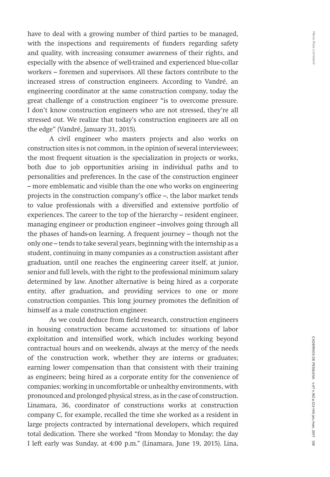have to deal with a growing number of third parties to be managed, with the inspections and requirements of funders regarding safety and quality, with increasing consumer awareness of their rights, and especially with the absence of well-trained and experienced blue-collar workers – foremen and supervisors. All these factors contribute to the increased stress of construction engineers. According to Vandré, an engineering coordinator at the same construction company, today the great challenge of a construction engineer "is to overcome pressure. I don't know construction engineers who are not stressed, they're all stressed out. We realize that today's construction engineers are all on the edge" (Vandré, January 31, 2015).

A civil engineer who masters projects and also works on construction sites is not common, in the opinion of several interviewees; the most frequent situation is the specialization in projects or works, both due to job opportunities arising in individual paths and to personalities and preferences. In the case of the construction engineer – more emblematic and visible than the one who works on engineering projects in the construction company's office –, the labor market tends to value professionals with a diversified and extensive portfolio of experiences. The career to the top of the hierarchy – resident engineer, managing engineer or production engineer –involves going through all the phases of hands-on learning. A frequent journey – though not the only one – tends to take several years, beginning with the internship as a student, continuing in many companies as a construction assistant after graduation, until one reaches the engineering career itself, at junior, senior and full levels, with the right to the professional minimum salary determined by law. Another alternative is being hired as a corporate entity, after graduation, and providing services to one or more construction companies. This long journey promotes the definition of himself as a male construction engineer.

As we could deduce from field research, construction engineers in housing construction became accustomed to: situations of labor exploitation and intensified work, which includes working beyond contractual hours and on weekends, always at the mercy of the needs of the construction work, whether they are interns or graduates; earning lower compensation than that consistent with their training as engineers; being hired as a corporate entity for the convenience of companies; working in uncomfortable or unhealthy environments, with pronounced and prolonged physical stress, as in the case of construction. Linamara, 36, coordinator of constructions works at construction company C, for example, recalled the time she worked as a resident in large projects contracted by international developers, which required total dedication. There she worked "from Monday to Monday; the day I left early was Sunday, at 4:00 p.m." (Linamara, June 19, 2015). Lina,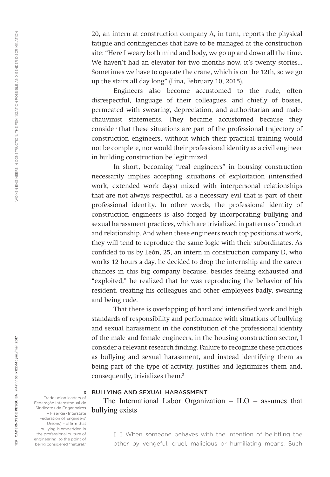20, an intern at construction company A, in turn, reports the physical fatigue and contingencies that have to be managed at the construction site: "Here I weary both mind and body, we go up and down all the time. We haven't had an elevator for two months now, it's twenty stories... Sometimes we have to operate the crane, which is on the 12th, so we go up the stairs all day long" (Lina, February 10, 2015).

Engineers also become accustomed to the rude, often disrespectful, language of their colleagues, and chiefly of bosses, permeated with swearing, depreciation, and authoritarian and malechauvinist statements. They became accustomed because they consider that these situations are part of the professional trajectory of construction engineers, without which their practical training would not be complete, nor would their professional identity as a civil engineer in building construction be legitimized.

In short, becoming "real engineers" in housing construction necessarily implies accepting situations of exploitation (intensified work, extended work days) mixed with interpersonal relationships that are not always respectful, as a necessary evil that is part of their professional identity. In other words, the professional identity of construction engineers is also forged by incorporating bullying and sexual harassment practices, which are trivialized in patterns of conduct and relationship. And when these engineers reach top positions at work, they will tend to reproduce the same logic with their subordinates. As confided to us by León, 25, an intern in construction company D, who works 12 hours a day, he decided to drop the internship and the career chances in this big company because, besides feeling exhausted and "exploited," he realized that he was reproducing the behavior of his resident, treating his colleagues and other employees badly, swearing and being rude.

That there is overlapping of hard and intensified work and high standards of responsibility and performance with situations of bullying and sexual harassment in the constitution of the professional identity of the male and female engineers, in the housing construction sector, I consider a relevant research finding. Failure to recognize these practices as bullying and sexual harassment, and instead identifying them as being part of the type of activity, justifies and legitimizes them and, consequently, trivializes them.<sup>3</sup>

#### BULLYING AND SEXUAL HARASSMENT

The International Labor Organization – ILO – assumes that bullying exists

[...] When someone behaves with the intention of belittling the other by vengeful, cruel, malicious or humiliating means. Such

Trade union leaders of Federação Interestadual de Sindicatos de Engenheiros – Fisenge (Interstate Federation of Engineers' Unions) – affirm that bullying is embedded in the professional culture of engineering, to the point of being considered "natural."

3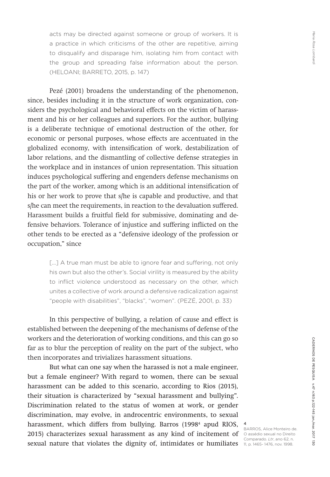acts may be directed against someone or group of workers. It is a practice in which criticisms of the other are repetitive, aiming to disqualify and disparage him, isolating him from contact with the group and spreading false information about the person. (HELOANI; BARRETO, 2015, p. 147)

Pezé (2001) broadens the understanding of the phenomenon, since, besides including it in the structure of work organization, considers the psychological and behavioral effects on the victim of harassment and his or her colleagues and superiors. For the author, bullying is a deliberate technique of emotional destruction of the other, for economic or personal purposes, whose effects are accentuated in the globalized economy, with intensification of work, destabilization of labor relations, and the dismantling of collective defense strategies in the workplace and in instances of union representation. This situation induces psychological suffering and engenders defense mechanisms on the part of the worker, among which is an additional intensification of his or her work to prove that s/he is capable and productive, and that s/he can meet the requirements, in reaction to the devaluation suffered. Harassment builds a fruitful field for submissive, dominating and defensive behaviors. Tolerance of injustice and suffering inflicted on the other tends to be erected as a "defensive ideology of the profession or occupation," since

> [...] A true man must be able to ignore fear and suffering, not only his own but also the other's. Social virility is measured by the ability to inflict violence understood as necessary on the other, which unites a collective of work around a defensive radicalization against "people with disabilities", "blacks", "women". (PEZÉ, 2001, p. 33)

In this perspective of bullying, a relation of cause and effect is established between the deepening of the mechanisms of defense of the workers and the deterioration of working conditions, and this can go so far as to blur the perception of reality on the part of the subject, who then incorporates and trivializes harassment situations.

But what can one say when the harassed is not a male engineer, but a female engineer? With regard to women, there can be sexual harassment can be added to this scenario, according to Rios (2015), their situation is characterized by "sexual harassment and bullying". Discrimination related to the status of women at work, or gender discrimination, may evolve, in androcentric environments, to sexual harassment, which differs from bullying. Barros (1998<sup>4</sup> apud RIOS, 2015) characterizes sexual harassment as any kind of incitement of Olassédio sexual no Direito sexual nature that violates the dignity of, intimidates or humiliates 11, p. 1465- 1476, nov. 1998.

4

BARROS, Alice Monteiro de. Comparado. *Ltr*, ano 62, n.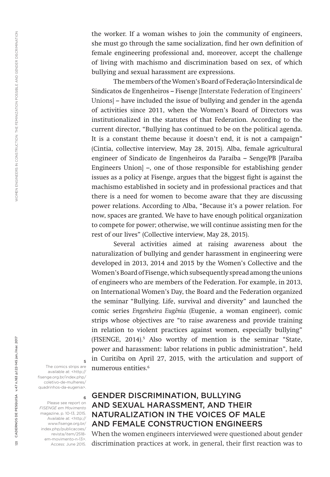the worker. If a woman wishes to join the community of engineers, she must go through the same socialization, find her own definition of female engineering professional and, moreover, accept the challenge of living with machismo and discrimination based on sex, of which bullying and sexual harassment are expressions.

The members of the Women's Board of Federação Intersindical de Sindicatos de Engenheiros – Fisenge [Interstate Federation of Engineers' Unions] – have included the issue of bullying and gender in the agenda of activities since 2011, when the Women's Board of Directors was institutionalized in the statutes of that Federation. According to the current director, "Bullying has continued to be on the political agenda. It is a constant theme because it doesn't end, it is not a campaign" (Cintia, collective interview, May 28, 2015). Alba, female agricultural engineer of Sindicato de Engenheiros da Paraíba – Senge/PB [Paraíba Engineers Union] –, one of those responsible for establishing gender issues as a policy at Fisenge, argues that the biggest fight is against the machismo established in society and in professional practices and that there is a need for women to become aware that they are discussing power relations. According to Alba, "Because it's a power relation. For now, spaces are granted. We have to have enough political organization to compete for power; otherwise, we will continue assisting men for the rest of our lives" (Collective interview, May 28, 2015).

Several activities aimed at raising awareness about the naturalization of bullying and gender harassment in engineering were developed in 2013, 2014 and 2015 by the Women's Collective and the Women's Board of Fisenge, which subsequently spread among the unions of engineers who are members of the Federation. For example, in 2013, on International Women's Day, the Board and the Federation organized the seminar "Bullying. Life, survival and diversity" and launched the comic series *Engenheira Eugênia* (Eugenie, a woman engineer), comic strips whose objectives are "to raise awareness and provide training in relation to violent practices against women, especially bullying" (FISENGE, 2014).5 Also worthy of mention is the seminar "State, power and harassment: labor relations in public administration", held in Curitiba on April 27, 2015, with the articulation and support of numerous entities.<sup>6</sup>

The comics strips are available at: <http:// fisenge.org.br/index.php/ coletivo-de-mulheres/ quadrinhos-da-eugenia>.

5

6 Please see report on *FISENGE em Movimento*  magazine, p. 10-13, 2015. Available at: <http:// www.fisenge.org.br/ index.php/publicacoes/ revista/item/2518 em-movimento-n-13>. Access: June 2015.

# GENDER DISCRIMINATION, BULLYING AND SEXUAL HARASSMENT, AND THEIR NATURALIZATION IN THE VOICES OF MALE AND FEMALE CONSTRUCTION ENGINEERS

When the women engineers interviewed were questioned about gender discrimination practices at work, in general, their first reaction was to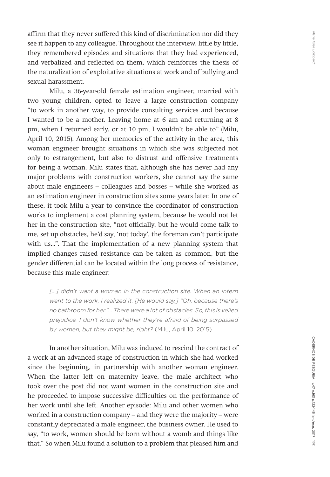affirm that they never suffered this kind of discrimination nor did they see it happen to any colleague. Throughout the interview, little by little, they remembered episodes and situations that they had experienced, and verbalized and reflected on them, which reinforces the thesis of the naturalization of exploitative situations at work and of bullying and sexual harassment.

Milu, a 36-year-old female estimation engineer, married with two young children, opted to leave a large construction company "to work in another way, to provide consulting services and because I wanted to be a mother. Leaving home at 6 am and returning at 8 pm, when I returned early, or at 10 pm, I wouldn't be able to" (Milu, April 10, 2015). Among her memories of the activity in the area, this woman engineer brought situations in which she was subjected not only to estrangement, but also to distrust and offensive treatments for being a woman. Milu states that, although she has never had any major problems with construction workers, she cannot say the same about male engineers – colleagues and bosses – while she worked as an estimation engineer in construction sites some years later. In one of these, it took Milu a year to convince the coordinator of construction works to implement a cost planning system, because he would not let her in the construction site, "not officially, but he would come talk to me, set up obstacles, he'd say, 'not today', the foreman can't participate with us...". That the implementation of a new planning system that implied changes raised resistance can be taken as common, but the gender differential can be located within the long process of resistance, because this male engineer:

[...] didn't want a woman in the construction site. When an intern *went to the work, I realized it. [He would say,] "Oh, because there's no bathroom for her."... There were a lot of obstacles. So, this is veiled prejudice. I don't know whether they're afraid of being surpassed by women, but they might be, right?* (Milu, April 10, 2015)

In another situation, Milu was induced to rescind the contract of a work at an advanced stage of construction in which she had worked since the beginning, in partnership with another woman engineer. When the latter left on maternity leave, the male architect who took over the post did not want women in the construction site and he proceeded to impose successive difficulties on the performance of her work until she left. Another episode: Milu and other women who worked in a construction company – and they were the majority – were constantly depreciated a male engineer, the business owner. He used to say, "to work, women should be born without a womb and things like that." So when Milu found a solution to a problem that pleased him and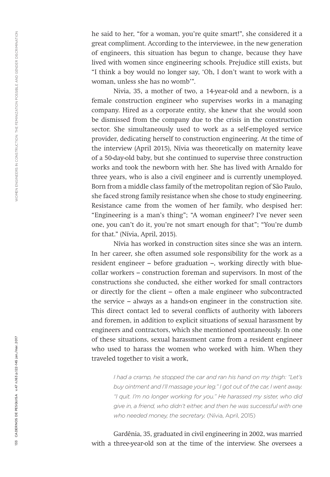he said to her, "for a woman, you're quite smart!", she considered it a great compliment*.* According to the interviewee, in the new generation of engineers, this situation has begun to change, because they have lived with women since engineering schools. Prejudice still exists, but "I think a boy would no longer say, 'Oh, I don't want to work with a woman, unless she has no womb'".

Nivia, 35, a mother of two, a 14-year-old and a newborn, is a female construction engineer who supervises works in a managing company. Hired as a corporate entity, she knew that she would soon be dismissed from the company due to the crisis in the construction sector. She simultaneously used to work as a self-employed service provider, dedicating herself to construction engineering. At the time of the interview (April 2015), Nívia was theoretically on maternity leave of a 50-day-old baby, but she continued to supervise three construction works and took the newborn with her. She has lived with Arnaldo for three years, who is also a civil engineer and is currently unemployed. Born from a middle class family of the metropolitan region of São Paulo, she faced strong family resistance when she chose to study engineering. Resistance came from the women of her family, who despised her: "Engineering is a man's thing"; "A woman engineer? I've never seen one, you can't do it, you're not smart enough for that"; "You're dumb for that." (Nívia, April, 2015).

Nívia has worked in construction sites since she was an intern. In her career, she often assumed sole responsibility for the work as a resident engineer – before graduation –, working directly with bluecollar workers – construction foreman and supervisors. In most of the constructions she conducted, she either worked for small contractors or directly for the client – often a male engineer who subcontracted the service – always as a hands-on engineer in the construction site. This direct contact led to several conflicts of authority with laborers and foremen, in addition to explicit situations of sexual harassment by engineers and contractors, which she mentioned spontaneously. In one of these situations, sexual harassment came from a resident engineer who used to harass the women who worked with him. When they traveled together to visit a work,

> *I had a cramp, he stopped the car and ran his hand on my thigh: "Let's buy ointment and I'll massage your leg." I got out of the car, I went away. "I quit. I'm no longer working for you." He harassed my sister, who did give in, a friend, who didn't either, and then he was successful with one who needed money, the secretary.* (Nívia, April, 2015)

Gardênia, 35, graduated in civil engineering in 2002, was married with a three-year-old son at the time of the interview. She oversees a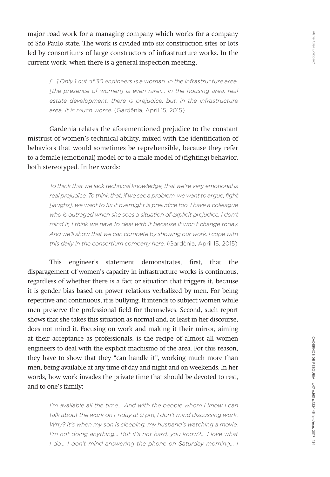major road work for a managing company which works for a company of São Paulo state. The work is divided into six construction sites or lots led by consortiums of large constructors of infrastructure works. In the current work, when there is a general inspection meeting,

[...] Only 1 out of 30 engineers is a woman. In the infrastructure area, [the presence of women] is even rarer... In the housing area, real estate development, there is prejudice, but, in the infrastructure *area, it is much worse.* (Gardênia, April 15, 2015)

Gardenia relates the aforementioned prejudice to the constant mistrust of women's technical ability, mixed with the identification of behaviors that would sometimes be reprehensible, because they refer to a female (emotional) model or to a male model of (fighting) behavior, both stereotyped. In her words:

*To think that we lack technical knowledge, that we're very emotional is real prejudice. To think that, if we see a problem, we want to argue, fight [laughs], we want to fix it overnight is prejudice too. I have a colleague who is outraged when she sees a situation of explicit prejudice. I don't mind it, I think we have to deal with it because it won't change today. And we'll show that we can compete by showing our work. I cope with this daily in the consortium company here.* (Gardênia, April 15, 2015)

This engineer's statement demonstrates, first, that the disparagement of women's capacity in infrastructure works is continuous, regardless of whether there is a fact or situation that triggers it, because it is gender bias based on power relations verbalized by men. For being repetitive and continuous, it is bullying. It intends to subject women while men preserve the professional field for themselves. Second, such report shows that she takes this situation as normal and, at least in her discourse, does not mind it. Focusing on work and making it their mirror, aiming at their acceptance as professionals, is the recipe of almost all women engineers to deal with the explicit machismo of the area. For this reason, they have to show that they "can handle it", working much more than men, being available at any time of day and night and on weekends. In her words, how work invades the private time that should be devoted to rest, and to one's family:

I'm available all the time... And with the people whom I know I can *talk about the work on Friday at 9 pm, I don't mind discussing work. Why? It's when my son is sleeping, my husband's watching a movie, I'm not doing anything... But it's not hard, you know?... I love what I do... I don't mind answering the phone on Saturday morning... I*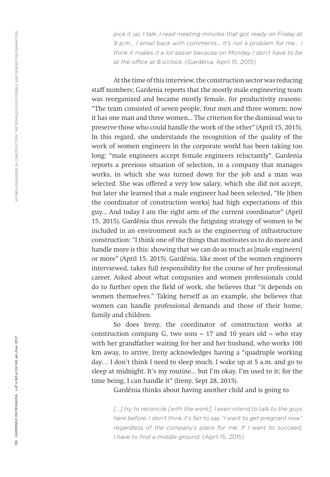*pick it up, I talk, I read meeting minutes that got ready on Friday at 9 p.m... I email back with comments... It's not a problem for me... I think it makes it a lot easier because on Monday I don't have to be at the office at 8 o'clock.* (Gardênia, April 15, 2015)

At the time of this interview, the construction sector was reducing staff numbers; Gardenia reports that the mostly male engineering team was reorganized and became mostly female, for productivity reasons: "The team consisted of seven people, four men and three women; now it has one man and three women... The criterion for the dismissal was to preserve those who could handle the work of the other" (April 15, 2015). In this regard, she understands the recognition of the quality of the work of women engineers in the corporate world has been taking too long: "male engineers accept female engineers reluctantly". Gardenia reports a previous situation of selection, in a company that manages works, in which she was turned down for the job and a man was selected. She was offered a very low salary, which she did not accept, but later she learned that a male engineer had been selected, "He [then the coordinator of construction works] had high expectations of this guy... And today I am the right arm of the current coordinator" (April 15, 2015). Gardênia thus reveals the fatiguing strategy of women to be included in an environment such as the engineering of infrastructure construction: "I think one of the things that motivates us to do more and handle more is this: showing that we can do as much as [male engineers] or more" (April 15, 2015). Gardênia, like most of the women engineers interviewed, takes full responsibility for the course of her professional career. Asked about what companies and women professionals could do to further open the field of work, she believes that "it depends on women themselves." Taking herself as an example, she believes that women can handle professional demands and those of their home, family and children.

So does Ireny, the coordinator of construction works at construction company G, two sons  $-17$  and 10 years old  $-$  who stay with her grandfather waiting for her and her husband, who works 100 km away, to arrive. Ireny acknowledges having a "quadruple working day… I don't think I need to sleep much. I wake up at 5 a.m. and go to sleep at midnight. It's my routine... but I'm okay, I'm used to it; for the time being, I can handle it" (Ireny, Sept 28, 2015).

Gardênia thinks about having another child and is going to

[...] try to reconcile [with the work], I even intend to talk to the guys *here before. I don't think it's fair to say "I want to get pregnant now" regardless of the company's plans for me. If I want to succeed, I have to find a middle ground.* (April 15, 2015)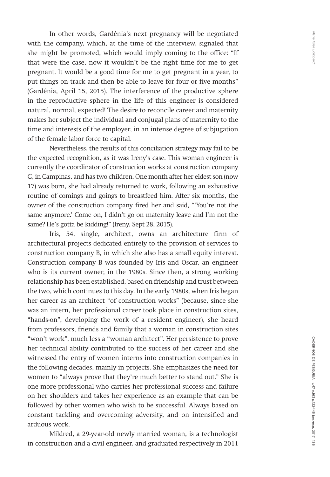In other words, Gardênia's next pregnancy will be negotiated with the company, which, at the time of the interview, signaled that she might be promoted, which would imply coming to the office: "If that were the case, now it wouldn't be the right time for me to get pregnant. It would be a good time for me to get pregnant in a year, to put things on track and then be able to leave for four or five months" (Gardênia, April 15, 2015). The interference of the productive sphere in the reproductive sphere in the life of this engineer is considered natural, normal, expected! The desire to reconcile career and maternity makes her subject the individual and conjugal plans of maternity to the time and interests of the employer, in an intense degree of subjugation of the female labor force to capital.

Nevertheless, the results of this conciliation strategy may fail to be the expected recognition, as it was Ireny's case. This woman engineer is currently the coordinator of construction works at construction company G, in Campinas, and has two children. One month after her eldest son (now 17) was born, she had already returned to work, following an exhaustive routine of comings and goings to breastfeed him. After six months, the owner of the construction company fired her and said, "'You're not the same anymore.' Come on, I didn't go on maternity leave and I'm not the same? He's gotta be kidding!" (Ireny, Sept 28, 2015).

Iris, 54, single, architect, owns an architecture firm of architectural projects dedicated entirely to the provision of services to construction company B, in which she also has a small equity interest. Construction company B was founded by Iris and Oscar, an engineer who is its current owner, in the 1980s. Since then, a strong working relationship has been established, based on friendship and trust between the two, which continues to this day. In the early 1980s, when Iris began her career as an architect "of construction works" (because, since she was an intern, her professional career took place in construction sites, "hands-on", developing the work of a resident engineer), she heard from professors, friends and family that a woman in construction sites "won't work", much less a "woman architect". Her persistence to prove her technical ability contributed to the success of her career and she witnessed the entry of women interns into construction companies in the following decades, mainly in projects. She emphasizes the need for women to "always prove that they're much better to stand out." She is one more professional who carries her professional success and failure on her shoulders and takes her experience as an example that can be followed by other women who wish to be successful. Always based on constant tackling and overcoming adversity, and on intensified and arduous work.

Mildred, a 29-year-old newly married woman, is a technologist in construction and a civil engineer, and graduated respectively in 2011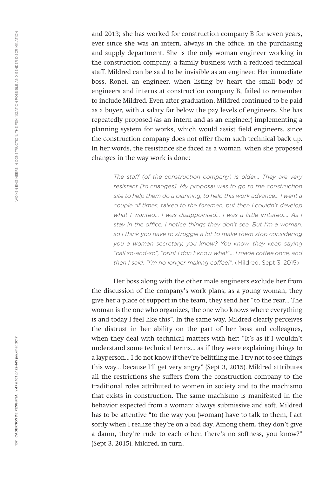and 2013; she has worked for construction company B for seven years, ever since she was an intern, always in the office, in the purchasing and supply department. She is the only woman engineer working in the construction company, a family business with a reduced technical staff. Mildred can be said to be invisible as an engineer. Her immediate boss, Ronei, an engineer, when listing by heart the small body of engineers and interns at construction company B, failed to remember to include Mildred. Even after graduation, Mildred continued to be paid as a buyer, with a salary far below the pay levels of engineers. She has repeatedly proposed (as an intern and as an engineer) implementing a planning system for works, which would assist field engineers, since the construction company does not offer them such technical back up. In her words, the resistance she faced as a woman, when she proposed changes in the way work is done:

> *The staff (of the construction company) is older... They are very resistant [to changes]. My proposal was to go to the construction site to help them do a planning, to help this work advance... I went a couple of times, talked to the foremen, but then I couldn't develop what I wanted... I was disappointed... I was a little irritated.... As I stay in the office, I notice things they don't see. But I'm a woman, so I think you have to struggle a lot to make them stop considering you a woman secretary, you know? You know, they keep saying "call so-and-so", "print I don't know what"... I made coffee once, and then I said, "I'm no longer making coffee!".* (Mildred, Sept 3, 2015)

Her boss along with the other male engineers exclude her from the discussion of the company's work plans; as a young woman, they give her a place of support in the team, they send her "to the rear... The woman is the one who organizes, the one who knows where everything is and today I feel like this". In the same way, Mildred clearly perceives the distrust in her ability on the part of her boss and colleagues, when they deal with technical matters with her: "It's as if I wouldn't understand some technical terms... as if they were explaining things to a layperson... I do not know if they're belittling me, I try not to see things this way... because I'll get very angry" (Sept 3, 2015). Mildred attributes all the restrictions she suffers from the construction company to the traditional roles attributed to women in society and to the machismo that exists in construction. The same machismo is manifested in the behavior expected from a woman: always submissive and soft. Mildred has to be attentive "to the way you (woman) have to talk to them, I act softly when I realize they're on a bad day. Among them, they don't give a damn, they're rude to each other, there's no softness, you know?" (Sept 3, 2015). Mildred, in turn,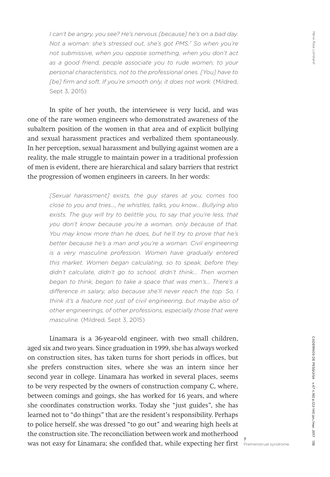*I can't be angry, you see? He's nervous [because] he's on a bad day. Not a woman: she's stressed out, she's got PMS.7 So when you're not submissive, when you oppose something, when you don't act as a good friend, people associate you to rude women, to your personal characteristics, not to the professional ones. [You] have to*  [be] firm and soft. If you're smooth only, it does not work. (Mildred, Sept 3, 2015)

In spite of her youth, the interviewee is very lucid, and was one of the rare women engineers who demonstrated awareness of the subaltern position of the women in that area and of explicit bullying and sexual harassment practices and verbalized them spontaneously. In her perception, sexual harassment and bullying against women are a reality, the male struggle to maintain power in a traditional profession of men is evident, there are hierarchical and salary barriers that restrict the progression of women engineers in careers. In her words:

*[Sexual harassment] exists, the guy stares at you, comes too close to you and tries…, he whistles, talks, you know… Bullying also*  exists. The guy will try to belittle you, to say that you're less, that *you don't know because you're a woman, only because of that. You may know more than he does, but he'll try to prove that he's better because he's a man and you're a woman. Civil engineering is a very masculine profession. Women have gradually entered this market. Women began calculating, so to speak, before they didn't calculate, didn't go to school, didn't think... Then women began to think, began to take a space that was men's... There's a difference in salary, also because she'll never reach the top. So, I think it's a feature not just of civil engineering, but maybe also of other engineerings, of other professions, especially those that were masculine.* (Mildred, Sept 3, 2015)

Linamara is a 36-year-old engineer, with two small children, aged six and two years. Since graduation in 1999, she has always worked on construction sites, has taken turns for short periods in offices, but she prefers construction sites, where she was an intern since her second year in college. Linamara has worked in several places, seems to be very respected by the owners of construction company C, where, between comings and goings, she has worked for 16 years, and where she coordinates construction works. Today she "just guides", she has learned not to "do things" that are the resident's responsibility. Perhaps to police herself, she was dressed "to go out" and wearing high heels at the construction site. The reconciliation between work and motherhood was not easy for Linamara; she confided that, while expecting her first <sup>7</sup> Premenstrual syndrome.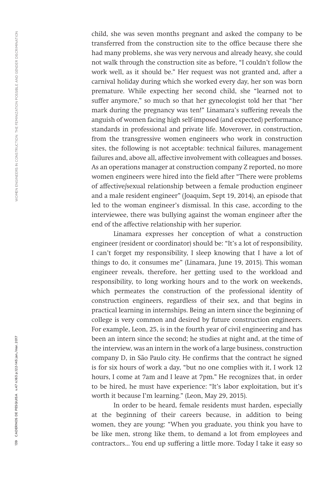child, she was seven months pregnant and asked the company to be transferred from the construction site to the office because there she had many problems, she was very nervous and already heavy, she could not walk through the construction site as before, "I couldn't follow the work well, as it should be." Her request was not granted and, after a carnival holiday during which she worked every day, her son was born premature. While expecting her second child, she "learned not to suffer anymore," so much so that her gynecologist told her that "her mark during the pregnancy was ten!" Linamara's suffering reveals the anguish of women facing high self-imposed (and expected) performance standards in professional and private life. Moverover, in construction, from the transgressive women engineers who work in construction sites, the following is not acceptable: technical failures, management failures and, above all, affective involvement with colleagues and bosses. As an operations manager at construction company Z reported, no more women engineers were hired into the field after "There were problems of affective/sexual relationship between a female production engineer and a male resident engineer" (Joaquim, Sept 19, 2014), an episode that led to the woman engineer's dismissal. In this case, according to the interviewee, there was bullying against the woman engineer after the end of the affective relationship with her superior.

Linamara expresses her conception of what a construction engineer (resident or coordinator) should be: "It's a lot of responsibility, I can't forget my responsibility, I sleep knowing that I have a lot of things to do, it consumes me" (Linamara, June 19, 2015). This woman engineer reveals, therefore, her getting used to the workload and responsibility, to long working hours and to the work on weekends, which permeates the construction of the professional identity of construction engineers, regardless of their sex, and that begins in practical learning in internships. Being an intern since the beginning of college is very common and desired by future construction engineers. For example, Leon, 25, is in the fourth year of civil engineering and has been an intern since the second; he studies at night and, at the time of the interview, was an intern in the work of a large business, construction company D, in São Paulo city. He confirms that the contract he signed is for six hours of work a day, "but no one complies with it, I work 12 hours, I come at 7am and I leave at 7pm." He recognizes that, in order to be hired, he must have experience: "It's labor exploitation, but it's worth it because I'm learning." (Leon, May 29, 2015).

In order to be heard, female residents must harden, especially at the beginning of their careers because, in addition to being women, they are young: "When you graduate, you think you have to be like men, strong like them, to demand a lot from employees and contractors... You end up suffering a little more. Today I take it easy so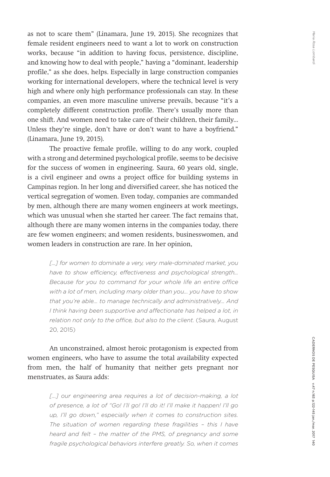as not to scare them" (Linamara, June 19, 2015). She recognizes that female resident engineers need to want a lot to work on construction works, because "in addition to having focus, persistence, discipline, and knowing how to deal with people," having a "dominant, leadership profile," as she does, helps. Especially in large construction companies working for international developers, where the technical level is very high and where only high performance professionals can stay. In these companies, an even more masculine universe prevails, because "it's a completely different construction profile. There's usually more than one shift. And women need to take care of their children, their family... Unless they're single, don't have or don't want to have a boyfriend." (Linamara, June 19, 2015).

The proactive female profile, willing to do any work, coupled with a strong and determined psychological profile, seems to be decisive for the success of women in engineering. Saura, 60 years old, single, is a civil engineer and owns a project office for building systems in Campinas region. In her long and diversified career, she has noticed the vertical segregation of women. Even today, companies are commanded by men, although there are many women engineers at work meetings, which was unusual when she started her career. The fact remains that, although there are many women interns in the companies today, there are few women engineers; and women residents, businesswomen, and women leaders in construction are rare. In her opinion,

[...] for women to dominate a very, very male-dominated market, you *have to show efficiency, effectiveness and psychological strength... Because for you to command for your whole life an entire office with a lot of men, including many older than you... you have to show that you're able… to manage technically and administratively... And I think having been supportive and affectionate has helped a lot, in*  relation not only to the office, but also to the client. (Saura, August 20, 2015)

An unconstrained, almost heroic protagonism is expected from women engineers, who have to assume the total availability expected from men, the half of humanity that neither gets pregnant nor menstruates, as Saura adds:

> [...] our engineering area requires a lot of decision-making, a lot *of presence, a lot of "Go! I'll go! I'll do it! I'll make it happen! I'll go up, I'll go down," especially when it comes to construction sites. The situation of women regarding these fragilities – this I have heard and felt – the matter of the PMS, of pregnancy and some fragile psychological behaviors interfere greatly. So, when it comes*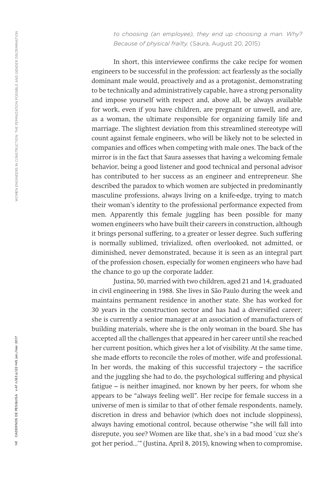*to choosing (an employee), they end up choosing a man. Why? Because of physical frailty.* (Saura, August 20, 2015)

In short, this interviewee confirms the cake recipe for women engineers to be successful in the profession: act fearlessly as the socially dominant male would, proactively and as a protagonist, demonstrating to be technically and administratively capable, have a strong personality and impose yourself with respect and, above all, be always available for work, even if you have children, are pregnant or unwell, and are, as a woman, the ultimate responsible for organizing family life and marriage. The slightest deviation from this streamlined stereotype will count against female engineers, who will be likely not to be selected in companies and offices when competing with male ones. The back of the mirror is in the fact that Saura assesses that having a welcoming female behavior, being a good listener and good technical and personal advisor has contributed to her success as an engineer and entrepreneur. She described the paradox to which women are subjected in predominantly masculine professions, always living on a knife-edge, trying to match their woman's identity to the professional performance expected from men. Apparently this female juggling has been possible for many women engineers who have built their careers in construction, although it brings personal suffering, to a greater or lesser degree. Such suffering is normally sublimed, trivialized, often overlooked, not admitted, or diminished, never demonstrated, because it is seen as an integral part of the profession chosen, especially for women engineers who have had the chance to go up the corporate ladder.

Justina, 50, married with two children, aged 21 and 14, graduated in civil engineering in 1988. She lives in São Paulo during the week and maintains permanent residence in another state. She has worked for 30 years in the construction sector and has had a diversified career; she is currently a senior manager at an association of manufacturers of building materials, where she is the only woman in the board. She has accepted all the challenges that appeared in her career until she reached her current position, which gives her a lot of visibility. At the same time, she made efforts to reconcile the roles of mother, wife and professional. In her words, the making of this successful trajectory – the sacrifice and the juggling she had to do, the psychological suffering and physical fatigue – is neither imagined, nor known by her peers, for whom she appears to be "always feeling well". Her recipe for female success in a universe of men is similar to that of other female respondents, namely, discretion in dress and behavior (which does not include sloppiness), always having emotional control, because otherwise "she will fall into disrepute, you see? Women are like that, she's in a bad mood 'cuz she's got her period...'" (Justina, April 8, 2015), knowing when to compromise,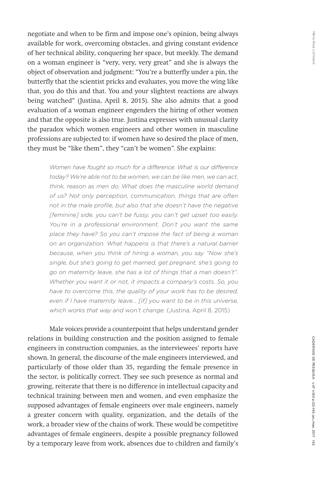negotiate and when to be firm and impose one's opinion, being always available for work, overcoming obstacles, and giving constant evidence of her technical ability, conquering her space, but meekly. The demand on a woman engineer is "very, very, very great" and she is always the object of observation and judgment: "You're a butterfly under a pin, the butterfly that the scientist pricks and evaluates, you move the wing like that, you do this and that. You and your slightest reactions are always being watched" (Justina, April 8, 2015). She also admits that a good evaluation of a woman engineer engenders the hiring of other women and that the opposite is also true. Justina expresses with unusual clarity the paradox which women engineers and other women in masculine professions are subjected to: if women have so desired the place of men, they must be "like them", they "can't be women". She explains:

*Women have fought so much for a difference. What is our difference today? We're able not to be women, we can be like men, we can act, think, reason as men do. What does the masculine world demand of us? Not only perception, communication, things that are often not in the male profile, but also that she doesn't have the negative [feminine] side, you can't be fussy, you can't get upset too easily. You're in a professional environment. Don't you want the same place they have? So you can't impose the fact of being a woman on an organization. What happens is that there's a natural barrier because, when you think of hiring a woman, you say "Now she's single, but she's going to get married, get pregnant, she's going to go on maternity leave, she has a lot of things that a man doesn't". Whether you want it or not, it impacts a company's costs. So, you have to overcome this, the quality of your work has to be desired, even if I have maternity leave... [if] you want to be in this universe, which works that way and won't change.* (Justina, April 8, 2015)

Male voices provide a counterpoint that helps understand gender relations in building construction and the position assigned to female engineers in construction companies, as the interviewees' reports have shown. In general, the discourse of the male engineers interviewed, and particularly of those older than 35, regarding the female presence in the sector, is politically correct. They see such presence as normal and growing, reiterate that there is no difference in intellectual capacity and technical training between men and women, and even emphasize the supposed advantages of female engineers over male engineers, namely a greater concern with quality, organization, and the details of the work, a broader view of the chains of work. These would be competitive advantages of female engineers, despite a possible pregnancy followed by a temporary leave from work, absences due to children and family's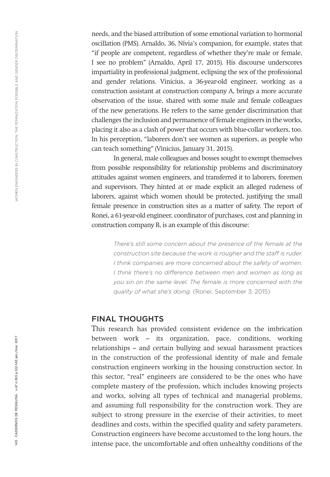needs, and the biased attribution of some emotional variation to hormonal oscillation (PMS). Arnaldo, 36, Nívia's companion, for example, states that "if people are competent, regardless of whether they're male or female, I see no problem" (Arnaldo, April 17, 2015). His discourse underscores impartiality in professional judgment, eclipsing the sex of the professional and gender relations. Vinicius, a 36-year-old engineer, working as a construction assistant at construction company A, brings a more accurate observation of the issue, shared with some male and female colleagues of the new generations. He refers to the same gender discrimination that challenges the inclusion and permanence of female engineers in the works, placing it also as a clash of power that occurs with blue-collar workers, too. In his perception, "laborers don't see women as superiors, as people who can teach something" (Vinicius, January 31, 2015).

In general, male colleagues and bosses sought to exempt themselves from possible responsibility for relationship problems and discriminatory attitudes against women engineers, and transferred it to laborers, foremen and supervisors. They hinted at or made explicit an alleged rudeness of laborers, against which women should be protected, justifying the small female presence in construction sites as a matter of safety. The report of Ronei, a 61-year-old engineer, coordinator of purchases, cost and planning in construction company B, is an example of this discourse:

> *There's still some concern about the presence of the female at the construction site because the work is rougher and the staff is ruder. I think companies are more concerned about the safety of women. I think there's no difference between men and women as long as you sin on the same level. The female is more concerned with the quality of what she's doing.* (Ronei, September 3, 2015)

## FINAL THOUGHTS

This research has provided consistent evidence on the imbrication between work – its organization, pace, conditions, working relationships – and certain bullying and sexual harassment practices in the construction of the professional identity of male and female construction engineers working in the housing construction sector. In this sector, "real" engineers are considered to be the ones who have complete mastery of the profession, which includes knowing projects and works, solving all types of technical and managerial problems, and assuming full responsibility for the construction work. They are subject to strong pressure in the exercise of their activities, to meet deadlines and costs, within the specified quality and safety parameters. Construction engineers have become accustomed to the long hours, the intense pace, the uncomfortable and often unhealthy conditions of the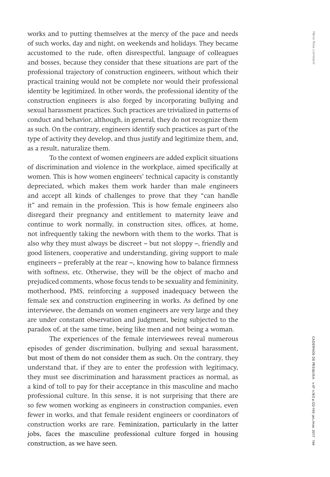works and to putting themselves at the mercy of the pace and needs of such works, day and night, on weekends and holidays. They became accustomed to the rude, often disrespectful, language of colleagues and bosses, because they consider that these situations are part of the professional trajectory of construction engineers, without which their practical training would not be complete nor would their professional identity be legitimized. In other words, the professional identity of the construction engineers is also forged by incorporating bullying and sexual harassment practices. Such practices are trivialized in patterns of conduct and behavior, although, in general, they do not recognize them as such. On the contrary, engineers identify such practices as part of the type of activity they develop, and thus justify and legitimize them, and, as a result, naturalize them.

To the context of women engineers are added explicit situations of discrimination and violence in the workplace, aimed specifically at women. This is how women engineers' technical capacity is constantly depreciated, which makes them work harder than male engineers and accept all kinds of challenges to prove that they "can handle it" and remain in the profession. This is how female engineers also disregard their pregnancy and entitlement to maternity leave and continue to work normally, in construction sites, offices, at home, not infrequently taking the newborn with them to the works. That is also why they must always be discreet – but not sloppy –, friendly and good listeners, cooperative and understanding, giving support to male engineers – preferably at the rear –, knowing how to balance firmness with softness, etc. Otherwise, they will be the object of macho and prejudiced comments, whose focus tends to be sexuality and femininity, motherhood, PMS, reinforcing a supposed inadequacy between the female sex and construction engineering in works. As defined by one interviewee, the demands on women engineers are very large and they are under constant observation and judgment, being subjected to the paradox of, at the same time, being like men and not being a woman.

The experiences of the female interviewees reveal numerous episodes of gender discrimination, bullying and sexual harassment, but most of them do not consider them as such. On the contrary, they understand that, if they are to enter the profession with legitimacy, they must see discrimination and harassment practices as normal, as a kind of toll to pay for their acceptance in this masculine and macho professional culture. In this sense, it is not surprising that there are so few women working as engineers in construction companies, even fewer in works, and that female resident engineers or coordinators of construction works are rare. Feminization, particularly in the latter jobs, faces the masculine professional culture forged in housing construction, as we have seen.